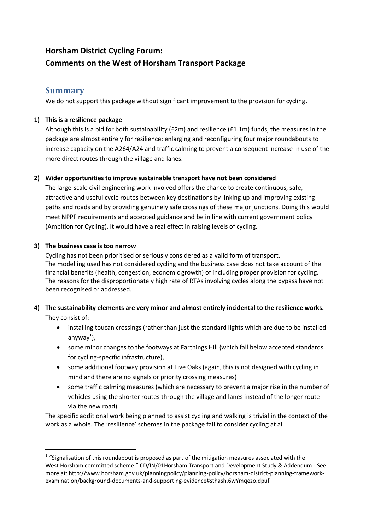# **Horsham District Cycling Forum: Comments on the West of Horsham Transport Package**

# **Summary**

We do not support this package without significant improvement to the provision for cycling.

# **1) This is a resilience package**

Although this is a bid for both sustainability ( $E2m$ ) and resilience ( $E1.1m$ ) funds, the measures in the package are almost entirely for resilience: enlarging and reconfiguring four major roundabouts to increase capacity on the A264/A24 and traffic calming to prevent a consequent increase in use of the more direct routes through the village and lanes.

# **2) Wider opportunities to improve sustainable transport have not been considered**

The large-scale civil engineering work involved offers the chance to create continuous, safe, attractive and useful cycle routes between key destinations by linking up and improving existing paths and roads and by providing genuinely safe crossings of these major junctions. Doing this would meet NPPF requirements and accepted guidance and be in line with current government policy (Ambition for Cycling). It would have a real effect in raising levels of cycling.

#### **3) The business case is too narrow**

Cycling has not been prioritised or seriously considered as a valid form of transport. The modelling used has not considered cycling and the business case does not take account of the financial benefits (health, congestion, economic growth) of including proper provision for cycling. The reasons for the disproportionately high rate of RTAs involving cycles along the bypass have not been recognised or addressed.

# **4) The sustainability elements are very minor and almost entirely incidental to the resilience works.**

They consist of:

**.** 

- installing toucan crossings (rather than just the standard lights which are due to be installed anyway<sup>1</sup>),
- some minor changes to the footways at Farthings Hill (which fall below accepted standards for cycling-specific infrastructure),
- some additional footway provision at Five Oaks (again, this is not designed with cycling in mind and there are no signals or priority crossing measures)
- some traffic calming measures (which are necessary to prevent a major rise in the number of vehicles using the shorter routes through the village and lanes instead of the longer route via the new road)

The specific additional work being planned to assist cycling and walking is trivial in the context of the work as a whole. The 'resilience' schemes in the package fail to consider cycling at all.

 $1$  "Signalisation of this roundabout is proposed as part of the mitigation measures associated with the West Horsham committed scheme." CD/IN/01Horsham Transport and Development Study & Addendum - See more at: http://www.horsham.gov.uk/planningpolicy/planning-policy/horsham-district-planning-frameworkexamination/background-documents-and-supporting-evidence#sthash.6wYmqezo.dpuf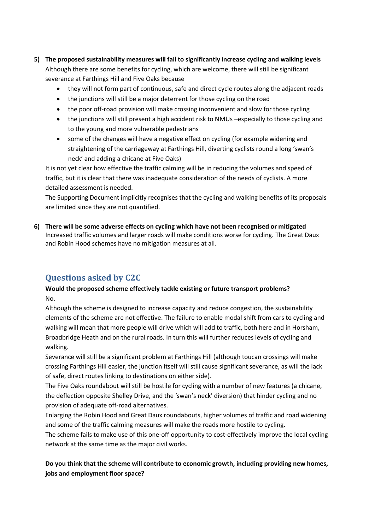- **5) The proposed sustainability measures will fail to significantly increase cycling and walking levels** Although there are some benefits for cycling, which are welcome, there will still be significant severance at Farthings Hill and Five Oaks because
	- they will not form part of continuous, safe and direct cycle routes along the adjacent roads
	- the junctions will still be a major deterrent for those cycling on the road
	- the poor off-road provision will make crossing inconvenient and slow for those cycling
	- the junctions will still present a high accident risk to NMUs –especially to those cycling and to the young and more vulnerable pedestrians
	- some of the changes will have a negative effect on cycling (for example widening and straightening of the carriageway at Farthings Hill, diverting cyclists round a long 'swan's neck' and adding a chicane at Five Oaks)

It is not yet clear how effective the traffic calming will be in reducing the volumes and speed of traffic, but it is clear that there was inadequate consideration of the needs of cyclists. A more detailed assessment is needed.

The Supporting Document implicitly recognises that the cycling and walking benefits of its proposals are limited since they are not quantified.

**6) There will be some adverse effects on cycling which have not been recognised or mitigated**  Increased traffic volumes and larger roads will make conditions worse for cycling. The Great Daux and Robin Hood schemes have no mitigation measures at all.

# **Questions asked by C2C**

# **Would the proposed scheme effectively tackle existing or future transport problems?** No.

Although the scheme is designed to increase capacity and reduce congestion, the sustainability elements of the scheme are not effective. The failure to enable modal shift from cars to cycling and walking will mean that more people will drive which will add to traffic, both here and in Horsham, Broadbridge Heath and on the rural roads. In turn this will further reduces levels of cycling and walking.

Severance will still be a significant problem at Farthings Hill (although toucan crossings will make crossing Farthings Hill easier, the junction itself will still cause significant severance, as will the lack of safe, direct routes linking to destinations on either side).

The Five Oaks roundabout will still be hostile for cycling with a number of new features (a chicane, the deflection opposite Shelley Drive, and the 'swan's neck' diversion) that hinder cycling and no provision of adequate off-road alternatives.

Enlarging the Robin Hood and Great Daux roundabouts, higher volumes of traffic and road widening and some of the traffic calming measures will make the roads more hostile to cycling.

The scheme fails to make use of this one-off opportunity to cost-effectively improve the local cycling network at the same time as the major civil works.

**Do you think that the scheme will contribute to economic growth, including providing new homes, jobs and employment floor space?**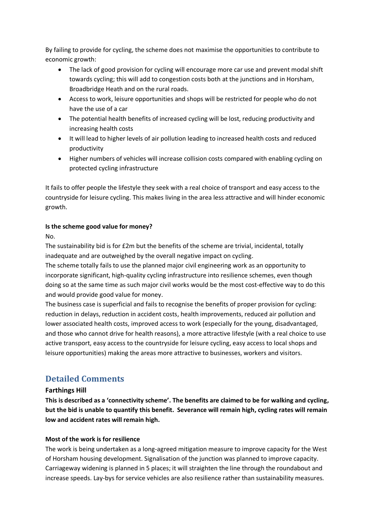By failing to provide for cycling, the scheme does not maximise the opportunities to contribute to economic growth:

- The lack of good provision for cycling will encourage more car use and prevent modal shift towards cycling; this will add to congestion costs both at the junctions and in Horsham, Broadbridge Heath and on the rural roads.
- Access to work, leisure opportunities and shops will be restricted for people who do not have the use of a car
- The potential health benefits of increased cycling will be lost, reducing productivity and increasing health costs
- It will lead to higher levels of air pollution leading to increased health costs and reduced productivity
- Higher numbers of vehicles will increase collision costs compared with enabling cycling on protected cycling infrastructure

It fails to offer people the lifestyle they seek with a real choice of transport and easy access to the countryside for leisure cycling. This makes living in the area less attractive and will hinder economic growth.

#### **Is the scheme good value for money?**

No.

The sustainability bid is for £2m but the benefits of the scheme are trivial, incidental, totally inadequate and are outweighed by the overall negative impact on cycling.

The scheme totally fails to use the planned major civil engineering work as an opportunity to incorporate significant, high-quality cycling infrastructure into resilience schemes, even though doing so at the same time as such major civil works would be the most cost-effective way to do this and would provide good value for money.

The business case is superficial and fails to recognise the benefits of proper provision for cycling: reduction in delays, reduction in accident costs, health improvements, reduced air pollution and lower associated health costs, improved access to work (especially for the young, disadvantaged, and those who cannot drive for health reasons), a more attractive lifestyle (with a real choice to use active transport, easy access to the countryside for leisure cycling, easy access to local shops and leisure opportunities) making the areas more attractive to businesses, workers and visitors.

# **Detailed Comments**

# **Farthings Hill**

**This is described as a 'connectivity scheme'. The benefits are claimed to be for walking and cycling, but the bid is unable to quantify this benefit. Severance will remain high, cycling rates will remain low and accident rates will remain high.**

# **Most of the work is for resilience**

The work is being undertaken as a long-agreed mitigation measure to improve capacity for the West of Horsham housing development. Signalisation of the junction was planned to improve capacity. Carriageway widening is planned in 5 places; it will straighten the line through the roundabout and increase speeds. Lay-bys for service vehicles are also resilience rather than sustainability measures.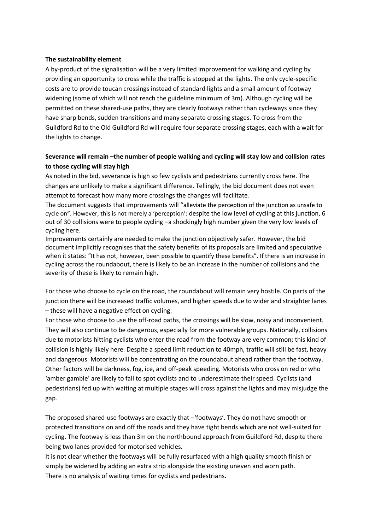#### **The sustainability element**

A by-product of the signalisation will be a very limited improvement for walking and cycling by providing an opportunity to cross while the traffic is stopped at the lights. The only cycle-specific costs are to provide toucan crossings instead of standard lights and a small amount of footway widening (some of which will not reach the guideline minimum of 3m). Although cycling will be permitted on these shared-use paths, they are clearly footways rather than cycleways since they have sharp bends, sudden transitions and many separate crossing stages. To cross from the Guildford Rd to the Old Guildford Rd will require four separate crossing stages, each with a wait for the lights to change.

#### **Severance will remain –the number of people walking and cycling will stay low and collision rates to those cycling will stay high**

As noted in the bid, severance is high so few cyclists and pedestrians currently cross here. The changes are unlikely to make a significant difference. Tellingly, the bid document does not even attempt to forecast how many more crossings the changes will facilitate.

The document suggests that improvements will "alleviate the perception of the junction as unsafe to cycle on". However, this is not merely a 'perception': despite the low level of cycling at this junction, 6 out of 30 collisions were to people cycling –a shockingly high number given the very low levels of cycling here.

Improvements certainly are needed to make the junction objectively safer. However, the bid document implicitly recognises that the safety benefits of its proposals are limited and speculative when it states: "It has not, however, been possible to quantify these benefits". If there is an increase in cycling across the roundabout, there is likely to be an increase in the number of collisions and the severity of these is likely to remain high.

For those who choose to cycle on the road, the roundabout will remain very hostile. On parts of the junction there will be increased traffic volumes, and higher speeds due to wider and straighter lanes – these will have a negative effect on cycling.

For those who choose to use the off-road paths, the crossings will be slow, noisy and inconvenient. They will also continue to be dangerous, especially for more vulnerable groups. Nationally, collisions due to motorists hitting cyclists who enter the road from the footway are very common; this kind of collision is highly likely here. Despite a speed limit reduction to 40mph, traffic will still be fast, heavy and dangerous. Motorists will be concentrating on the roundabout ahead rather than the footway. Other factors will be darkness, fog, ice, and off-peak speeding. Motorists who cross on red or who 'amber gamble' are likely to fail to spot cyclists and to underestimate their speed. Cyclists (and pedestrians) fed up with waiting at multiple stages will cross against the lights and may misjudge the gap.

The proposed shared-use footways are exactly that –'footways'. They do not have smooth or protected transitions on and off the roads and they have tight bends which are not well-suited for cycling. The footway is less than 3m on the northbound approach from Guildford Rd, despite there being two lanes provided for motorised vehicles.

It is not clear whether the footways will be fully resurfaced with a high quality smooth finish or simply be widened by adding an extra strip alongside the existing uneven and worn path. There is no analysis of waiting times for cyclists and pedestrians.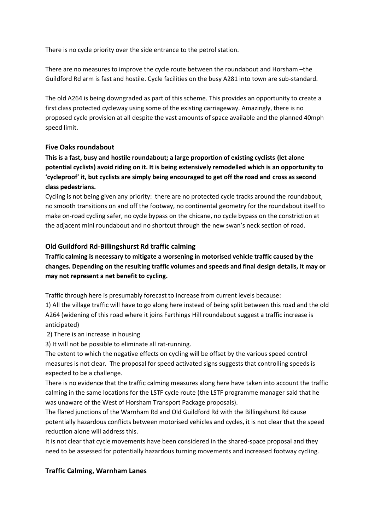There is no cycle priority over the side entrance to the petrol station.

There are no measures to improve the cycle route between the roundabout and Horsham –the Guildford Rd arm is fast and hostile. Cycle facilities on the busy A281 into town are sub-standard.

The old A264 is being downgraded as part of this scheme. This provides an opportunity to create a first class protected cycleway using some of the existing carriageway. Amazingly, there is no proposed cycle provision at all despite the vast amounts of space available and the planned 40mph speed limit.

#### **Five Oaks roundabout**

**This is a fast, busy and hostile roundabout; a large proportion of existing cyclists (let alone potential cyclists) avoid riding on it. It is being extensively remodelled which is an opportunity to 'cycleproof' it, but cyclists are simply being encouraged to get off the road and cross as second class pedestrians.**

Cycling is not being given any priority: there are no protected cycle tracks around the roundabout, no smooth transitions on and off the footway, no continental geometry for the roundabout itself to make on-road cycling safer, no cycle bypass on the chicane, no cycle bypass on the constriction at the adjacent mini roundabout and no shortcut through the new swan's neck section of road.

#### **Old Guildford Rd-Billingshurst Rd traffic calming**

**Traffic calming is necessary to mitigate a worsening in motorised vehicle traffic caused by the changes. Depending on the resulting traffic volumes and speeds and final design details, it may or may not represent a net benefit to cycling.**

Traffic through here is presumably forecast to increase from current levels because:

1) All the village traffic will have to go along here instead of being split between this road and the old A264 (widening of this road where it joins Farthings Hill roundabout suggest a traffic increase is anticipated)

2) There is an increase in housing

3) It will not be possible to eliminate all rat-running.

The extent to which the negative effects on cycling will be offset by the various speed control measures is not clear. The proposal for speed activated signs suggests that controlling speeds is expected to be a challenge.

There is no evidence that the traffic calming measures along here have taken into account the traffic calming in the same locations for the LSTF cycle route (the LSTF programme manager said that he was unaware of the West of Horsham Transport Package proposals).

The flared junctions of the Warnham Rd and Old Guildford Rd with the Billingshurst Rd cause potentially hazardous conflicts between motorised vehicles and cycles, it is not clear that the speed reduction alone will address this.

It is not clear that cycle movements have been considered in the shared-space proposal and they need to be assessed for potentially hazardous turning movements and increased footway cycling.

#### **Traffic Calming, Warnham Lanes**